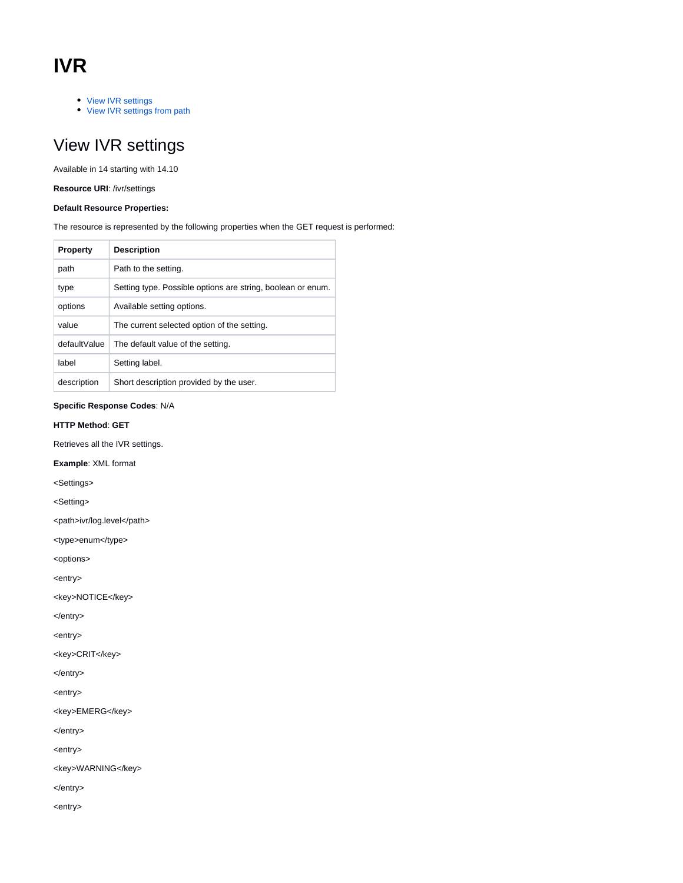# **IVR**

- [View IVR settings](#page-0-0)
- [View IVR settings from path](#page-7-0)

# <span id="page-0-0"></span>View IVR settings

Available in 14 starting with 14.10

**Resource URI**: /ivr/settings

# **Default Resource Properties:**

The resource is represented by the following properties when the GET request is performed:

| <b>Property</b> | <b>Description</b>                                          |
|-----------------|-------------------------------------------------------------|
| path            | Path to the setting.                                        |
| type            | Setting type. Possible options are string, boolean or enum. |
| options         | Available setting options.                                  |
| value           | The current selected option of the setting.                 |
| defaultValue    | The default value of the setting.                           |
| label           | Setting label.                                              |
| description     | Short description provided by the user.                     |

## **Specific Response Codes**: N/A

# **HTTP Method**: **GET**

Retrieves all the IVR settings.

**Example**: XML format

<Settings>

<Setting>

<path>ivr/log.level</path>

<type>enum</type>

<options>

<entry>

<key>NOTICE</key>

</entry>

<entry>

<key>CRIT</key>

</entry>

<entry>

<key>EMERG</key>

</entry>

<entry>

<key>WARNING</key>

</entry>

<entry>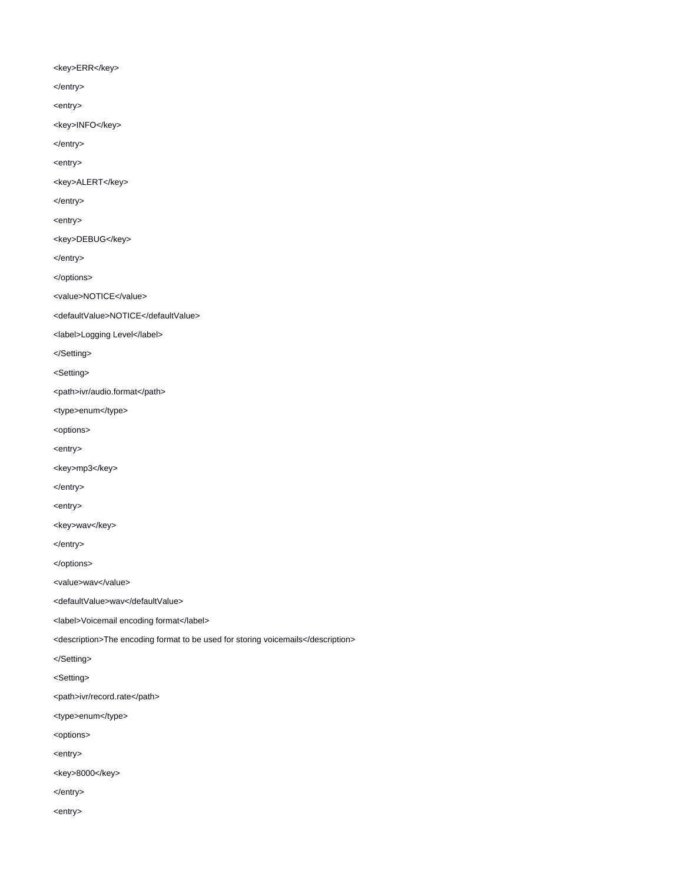## <key>ERR</key>

- </entry>
- <entry>
- <key>INFO</key>
- </entry>
- <entry>
- <key>ALERT</key>
- </entry>
- <entry>
- <key>DEBUG</key>
- </entry>
- </options>
- <value>NOTICE</value>
- <defaultValue>NOTICE</defaultValue>
- <label>Logging Level</label>
- </Setting>
- <Setting>
- <path>ivr/audio.format</path>
- <type>enum</type>
- <options>
- <entry>
- <key>mp3</key>
- </entry>
- <entry>
- <key>wav</key>
- </entry>
- </options>
- <value>wav</value>
- <defaultValue>wav</defaultValue>
- <label>Voicemail encoding format</label>
- <description>The encoding format to be used for storing voicemails</description>
- </Setting>
- <Setting>
- <path>ivr/record.rate</path>
- <type>enum</type>
- <options>
- <entry>
- <key>8000</key>
- </entry>
- <entry>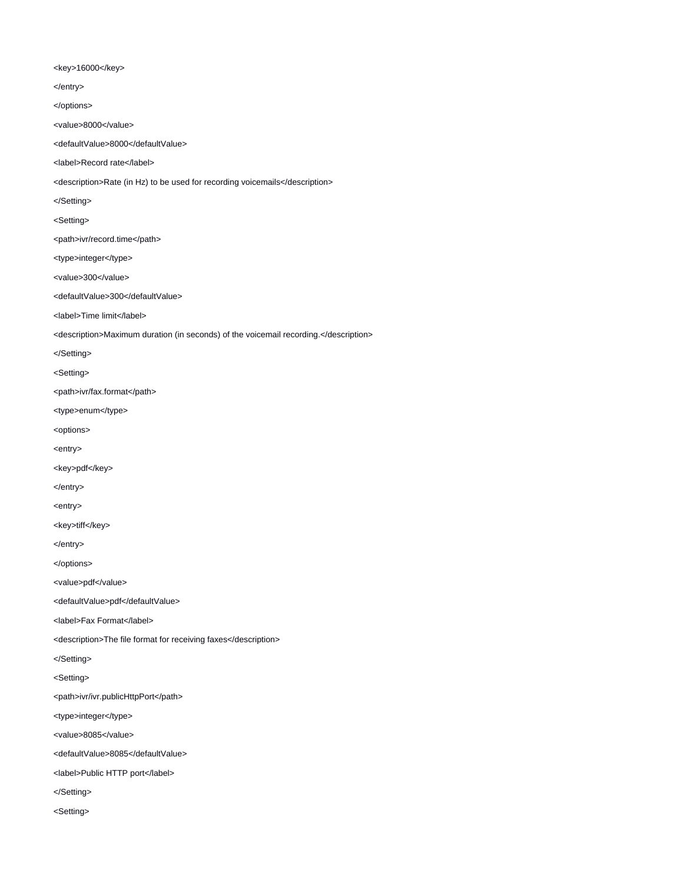## <key>16000</key>

</entry>

</options>

<value>8000</value>

<defaultValue>8000</defaultValue>

<label>Record rate</label>

<description>Rate (in Hz) to be used for recording voicemails</description>

</Setting>

<Setting>

- <path>ivr/record.time</path>
- <type>integer</type>
- <value>300</value>

<defaultValue>300</defaultValue>

<label>Time limit</label>

<description>Maximum duration (in seconds) of the voicemail recording.</description>

</Setting>

<Setting>

<path>ivr/fax.format</path>

<type>enum</type>

<options>

<entry>

<key>pdf</key>

</entry>

<entry>

<key>tiff</key>

</entry>

</options>

<value>pdf</value>

<defaultValue>pdf</defaultValue>

<label>Fax Format</label>

<description>The file format for receiving faxes</description>

</Setting>

<Setting>

<path>ivr/ivr.publicHttpPort</path>

<type>integer</type>

<value>8085</value>

<defaultValue>8085</defaultValue>

<label>Public HTTP port</label>

</Setting>

<Setting>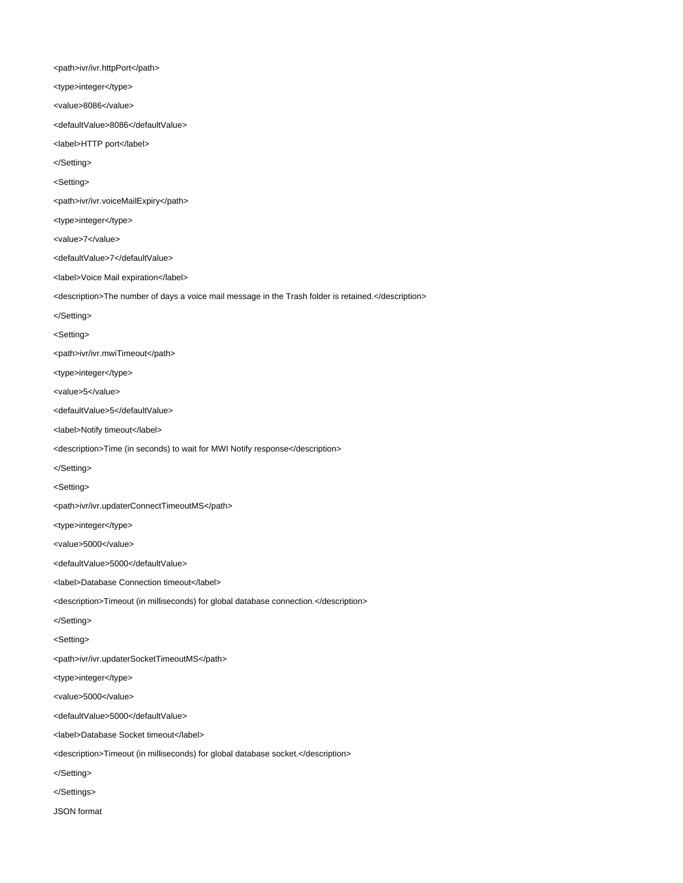<path>ivr/ivr.httpPort</path>

<type>integer</type>

<value>8086</value>

<defaultValue>8086</defaultValue>

<label>HTTP port</label>

</Setting>

<Setting>

<path>ivr/ivr.voiceMailExpiry</path>

<type>integer</type>

<value>7</value>

<defaultValue>7</defaultValue>

<label>Voice Mail expiration</label>

<description>The number of days a voice mail message in the Trash folder is retained.</description>

</Setting>

<Setting>

<path>ivr/ivr.mwiTimeout</path>

<type>integer</type>

<value>5</value>

<defaultValue>5</defaultValue>

<label>Notify timeout</label>

<description>Time (in seconds) to wait for MWI Notify response</description>

</Setting>

<Setting>

<path>ivr/ivr.updaterConnectTimeoutMS</path>

<type>integer</type>

<value>5000</value>

<defaultValue>5000</defaultValue>

<label>Database Connection timeout</label>

<description>Timeout (in milliseconds) for global database connection.</description>

</Setting>

<Setting>

<path>ivr/ivr.updaterSocketTimeoutMS</path>

<type>integer</type>

<value>5000</value>

<defaultValue>5000</defaultValue>

<label>Database Socket timeout</label>

<description>Timeout (in milliseconds) for global database socket.</description>

</Setting>

</Settings>

JSON format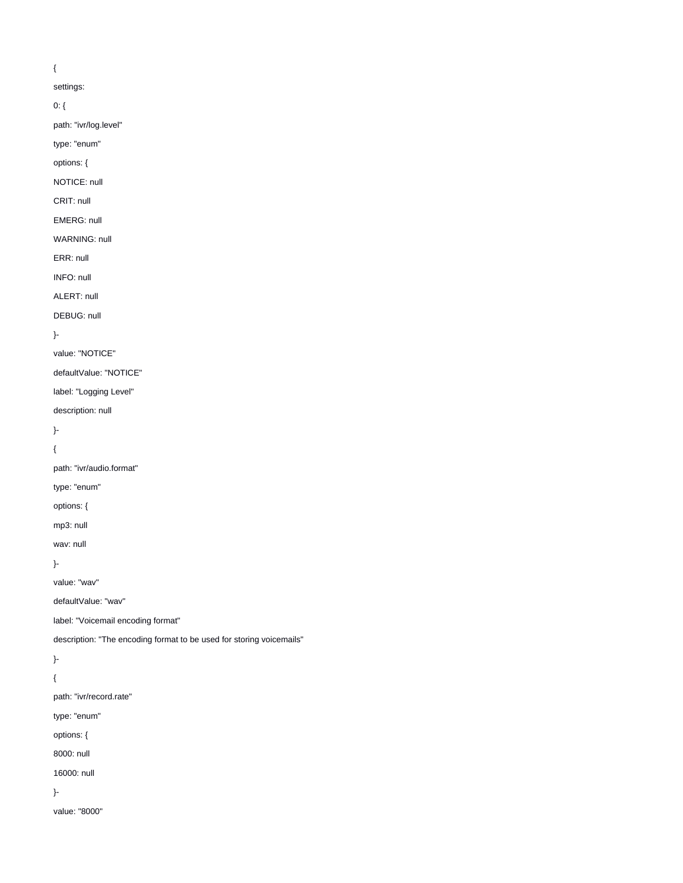# {

settings:

0: {

path: "ivr/log.level"

type: "enum"

options: {

NOTICE: null

CRIT: null

EMERG: null

WARNING: null

ERR: null

INFO: null

ALERT: null

DEBUG: null

}-

value: "NOTICE"

defaultValue: "NOTICE"

label: "Logging Level"

description: null

}-

{

path: "ivr/audio.format"

type: "enum"

options: {

mp3: null

wav: null

}-

value: "wav"

defaultValue: "wav"

label: "Voicemail encoding format"

description: "The encoding format to be used for storing voicemails"

}-

{

path: "ivr/record.rate"

type: "enum"

options: {

8000: null

16000: null

}-

value: "8000"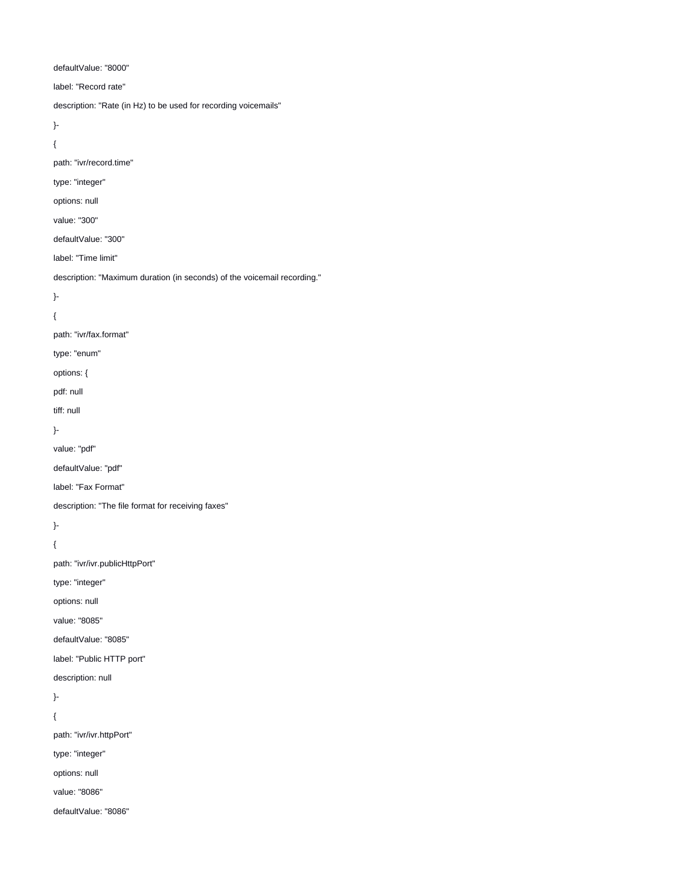defaultValue: "8000"

label: "Record rate"

description: "Rate (in Hz) to be used for recording voicemails"

}-

{

path: "ivr/record.time"

# type: "integer"

options: null

value: "300"

defaultValue: "300"

label: "Time limit"

description: "Maximum duration (in seconds) of the voicemail recording."

}-

{

# path: "ivr/fax.format"

type: "enum"

options: {

pdf: null

tiff: null

}-

value: "pdf"

defaultValue: "pdf"

label: "Fax Format"

description: "The file format for receiving faxes"

}-

{

path: "ivr/ivr.publicHttpPort"

type: "integer"

options: null

value: "8085"

defaultValue: "8085"

label: "Public HTTP port"

description: null

}-

{

path: "ivr/ivr.httpPort"

type: "integer"

options: null

value: "8086"

defaultValue: "8086"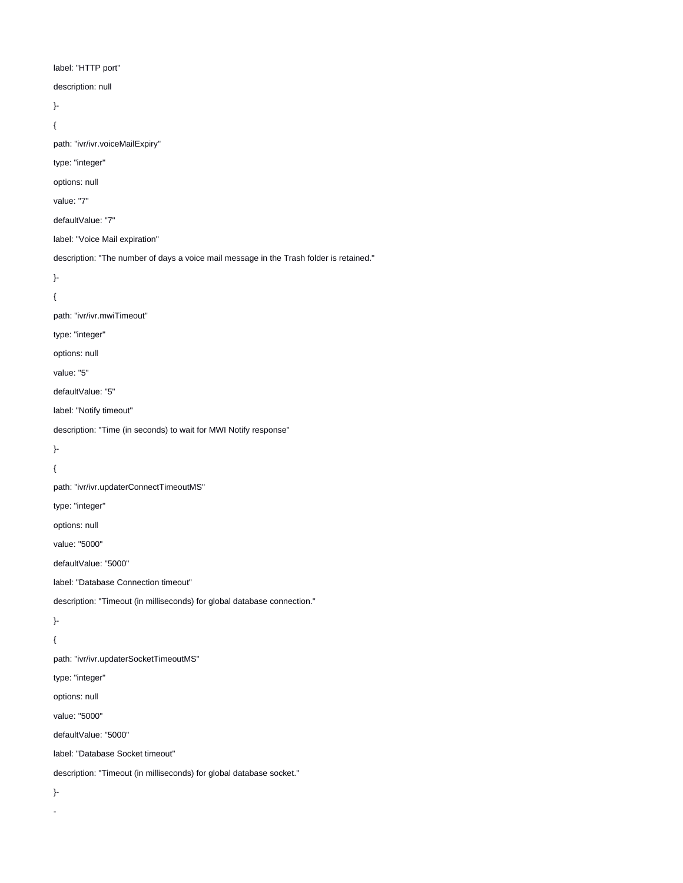label: "HTTP port" description: null }- { path: "ivr/ivr.voiceMailExpiry" type: "integer" options: null value: "7" defaultValue: "7" label: "Voice Mail expiration" description: "The number of days a voice mail message in the Trash folder is retained." }- { path: "ivr/ivr.mwiTimeout" type: "integer" options: null value: "5" defaultValue: "5" label: "Notify timeout" description: "Time (in seconds) to wait for MWI Notify response" }- { path: "ivr/ivr.updaterConnectTimeoutMS" type: "integer" options: null value: "5000" defaultValue: "5000" label: "Database Connection timeout" description: "Timeout (in milliseconds) for global database connection." }- { path: "ivr/ivr.updaterSocketTimeoutMS" type: "integer" options: null value: "5000" defaultValue: "5000" label: "Database Socket timeout" description: "Timeout (in milliseconds) for global database socket." }-

-